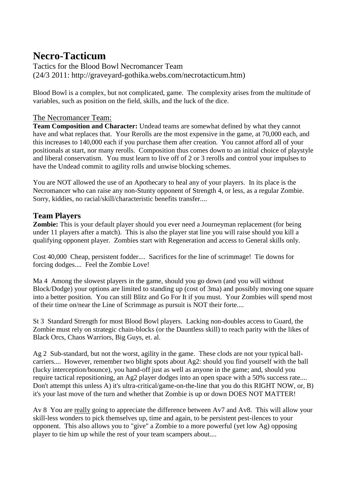## **Necro-Tacticum**

Tactics for the Blood Bowl Necromancer Team (24/3 2011: http://graveyard-gothika.webs.com/necrotacticum.htm)

Blood Bowl is a complex, but not complicated, game. The complexity arises from the multitude of variables, such as position on the field, skills, and the luck of the dice.

## The Necromancer Team:

**Team Composition and Character:** Undead teams are somewhat defined by what they cannot have and what replaces that. Your Rerolls are the most expensive in the game, at 70,000 each, and this increases to 140,000 each if you purchase them after creation. You cannot afford all of your positionals at start, nor many rerolls. Composition thus comes down to an initial choice of playstyle and liberal conservatism. You must learn to live off of 2 or 3 rerolls and control your impulses to have the Undead commit to agility rolls and unwise blocking schemes.

You are NOT allowed the use of an Apothecary to heal any of your players. In its place is the Necromancer who can raise any non-Stunty opponent of Strength 4, or less, as a regular Zombie. Sorry, kiddies, no racial/skill/characteristic benefits transfer....

## **Team Players**

**Zombie:** This is your default player should you ever need a Journeyman replacement (for being under 11 players after a match). This is also the player stat line you will raise should you kill a qualifying opponent player. Zombies start with Regeneration and access to General skills only.

Cost 40,000 Cheap, persistent fodder.... Sacrifices for the line of scrimmage! Tie downs for forcing dodges.... Feel the Zombie Love!

Ma 4 Among the slowest players in the game, should you go down (and you will without Block/Dodge) your options are limited to standing up (cost of 3ma) and possibly moving one square into a better position. You can still Blitz and Go For It if you must. Your Zombies will spend most of their time on/near the Line of Scrimmage as pursuit is NOT their forte....

St 3 Standard Strength for most Blood Bowl players. Lacking non-doubles access to Guard, the Zombie must rely on strategic chain-blocks (or the Dauntless skill) to reach parity with the likes of Black Orcs, Chaos Warriors, Big Guys, et. al.

Ag 2 Sub-standard, but not the worst, agility in the game. These clods are not your typical ballcarriers.... However, remember two blight spots about Ag2: should you find yourself with the ball (lucky interception/bounce), you hand-off just as well as anyone in the game; and, should you require tactical repositioning, an Ag2 player dodges into an open space with a 50% success rate.... Don't attempt this unless A) it's ultra-critical/game-on-the-line that you do this RIGHT NOW, or, B) it's your last move of the turn and whether that Zombie is up or down DOES NOT MATTER!

Av 8 You are really going to appreciate the difference between Av7 and Av8. This will allow your skill-less wonders to pick themselves up, time and again, to be persistent pest-ilences to your opponent. This also allows you to "give" a Zombie to a more powerful (yet low Ag) opposing player to tie him up while the rest of your team scampers about....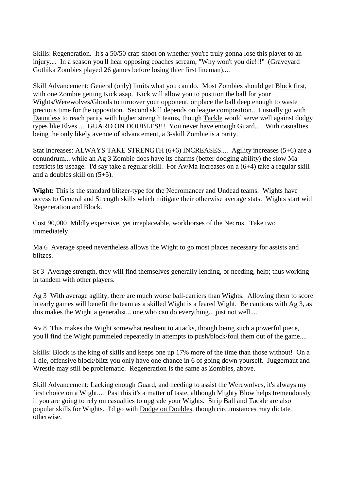Skills: Regeneration. It's a 50/50 crap shoot on whether you're truly gonna lose this player to an injury.... In a season you'll hear opposing coaches scream, "Why won't you die!!!" (Graveyard Gothika Zombies played 26 games before losing thier first lineman)....

Skill Advancement: General (only) limits what you can do. Most Zombies should get Block first, with one Zombie getting Kick asap. Kick will allow you to position the ball for your Wights/Werewolves/Ghouls to turnover your opponent, or place the ball deep enough to waste precious time for the opposition. Second skill depends on league composition... I usually go with Dauntless to reach parity with higher strength teams, though Tackle would serve well against dodgy types like Elves.... GUARD ON DOUBLES!!! You never have enough Guard.... With casualties being the only likely avenue of advancement, a 3-skill Zombie is a rarity.

Stat Increases: ALWAYS TAKE STRENGTH (6+6) INCREASES.... Agility increases (5+6) are a conundrum... while an Ag 3 Zombie does have its charms (better dodging ability) the slow Ma restricts its useage. I'd say take a regular skill. For Av/Ma increases on a (6+4) take a regular skill and a doubles skill on (5+5).

**Wight:** This is the standard blitzer-type for the Necromancer and Undead teams. Wights have access to General and Strength skills which mitigate their otherwise average stats. Wights start with Regeneration and Block.

Cost 90,000 Mildly expensive, yet irreplaceable, workhorses of the Necros. Take two immediately!

Ma 6 Average speed nevertheless allows the Wight to go most places necessary for assists and blitzes.

St 3 Average strength, they will find themselves generally lending, or needing, help; thus working in tandem with other players.

Ag 3 With average agility, there are much worse ball-carriers than Wights. Allowing them to score in early games will benefit the team as a skilled Wight is a feared Wight. Be cautious with Ag 3, as this makes the Wight a generalist... one who can do everything... just not well....

Av 8 This makes the Wight somewhat resilient to attacks, though being such a powerful piece, you'll find the Wight pummeled repeatedly in attempts to push/block/foul them out of the game....

Skills: Block is the king of skills and keeps one up 17% more of the time than those without! On a 1 die, offensive block/blitz you only have one chance in 6 of going down yourself. Juggernaut and Wrestle may still be problematic. Regeneration is the same as Zombies, above.

Skill Advancement: Lacking enough Guard, and needing to assist the Werewolves, it's always my first choice on a Wight.... Past this it's a matter of taste, although Mighty Blow helps tremendously if you are going to rely on casualties to upgrade your Wights. Strip Ball and Tackle are also popular skills for Wights. I'd go with Dodge on Doubles, though circumstances may dictate otherwise.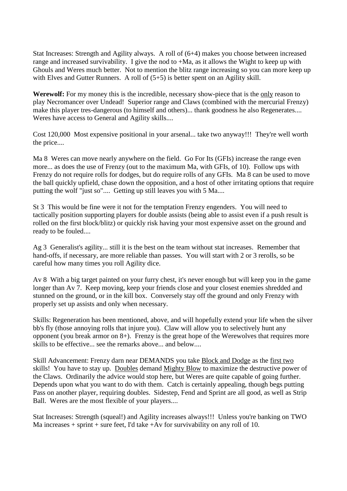Stat Increases: Strength and Agility always. A roll of (6+4) makes you choose between increased range and increased survivability. I give the nod to +Ma, as it allows the Wight to keep up with Ghouls and Weres much better. Not to mention the blitz range increasing so you can more keep up with Elves and Gutter Runners. A roll of  $(5+5)$  is better spent on an Agility skill.

**Werewolf:** For my money this is the incredible, necessary show-piece that is the only reason to play Necromancer over Undead! Superior range and Claws (combined with the mercurial Frenzy) make this player tres-dangerous (to himself and others)... thank goodness he also Regenerates.... Weres have access to General and Agility skills....

Cost 120,000 Most expensive positional in your arsenal... take two anyway!!! They're well worth the price....

Ma 8 Weres can move nearly anywhere on the field. Go For Its (GFIs) increase the range even more... as does the use of Frenzy (out to the maximum Ma, with GFIs, of 10). Follow ups with Frenzy do not require rolls for dodges, but do require rolls of any GFIs. Ma 8 can be used to move the ball quickly upfield, chase down the opposition, and a host of other irritating options that require putting the wolf "just so".... Getting up still leaves you with 5 Ma....

St 3 This would be fine were it not for the temptation Frenzy engenders. You will need to tactically position supporting players for double assists (being able to assist even if a push result is rolled on the first block/blitz) or quickly risk having your most expensive asset on the ground and ready to be fouled....

Ag 3 Generalist's agility... still it is the best on the team without stat increases. Remember that hand-offs, if necessary, are more reliable than passes. You will start with 2 or 3 rerolls, so be careful how many times you roll Agility dice.

Av 8 With a big target painted on your furry chest, it's never enough but will keep you in the game longer than Av 7. Keep moving, keep your friends close and your closest enemies shredded and stunned on the ground, or in the kill box. Conversely stay off the ground and only Frenzy with properly set up assists and only when necessary.

Skills: Regeneration has been mentioned, above, and will hopefully extend your life when the silver bb's fly (those annoying rolls that injure you). Claw will allow you to selectively hunt any opponent (you break armor on 8+). Frenzy is the great hope of the Werewolves that requires more skills to be effective... see the remarks above... and below....

Skill Advancement: Frenzy darn near DEMANDS you take Block and Dodge as the first two skills! You have to stay up. Doubles demand Mighty Blow to maximize the destructive power of the Claws. Ordinarily the advice would stop here, but Weres are quite capable of going further. Depends upon what you want to do with them. Catch is certainly appealing, though begs putting Pass on another player, requiring doubles. Sidestep, Fend and Sprint are all good, as well as Strip Ball. Weres are the most flexible of your players....

Stat Increases: Strength (squeal!) and Agility increases always!!! Unless you're banking on TWO Ma increases  $+$  sprint  $+$  sure feet. I'd take  $+Av$  for survivability on any roll of 10.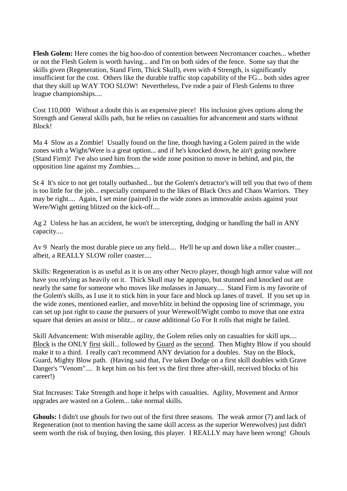**Flesh Golem:** Here comes the big hoo-doo of contention between Necromancer coaches... whether or not the Flesh Golem is worth having... and I'm on both sides of the fence. Some say that the skills given (Regeneration, Stand Firm, Thick Skull), even with 4 Strength, is significantly insufficient for the cost. Others like the durable traffic stop capability of the FG... both sides agree that they skill up WAY TOO SLOW! Nevertheless, I've rode a pair of Flesh Golems to three league championships....

Cost 110,000 Without a doubt this is an expensive piece! His inclusion gives options along the Strength and General skills path, but he relies on casualties for advancement and starts without Block!

Ma 4 Slow as a Zombie! Usually found on the line, though having a Golem paired in the wide zones with a Wight/Were is a great option... and if he's knocked down, he ain't going nowhere (Stand Firm)! I've also used him from the wide zone position to move in behind, and pin, the opposition line against my Zombies....

St 4 It's nice to not get totally outbashed... but the Golem's detractor's will tell you that two of them is too little for the job... especially compared to the likes of Black Orcs and Chaos Warriors. They may be right.... Again, I set mine (paired) in the wide zones as immovable assists against your Were/Wight getting blitzed on the kick-off....

Ag 2 Unless he has an accident, he won't be intercepting, dodging or handling the ball in ANY capacity....

Av 9 Nearly the most durable piece on any field.... He'll be up and down like a roller coaster... albeit, a REALLY SLOW roller coaster....

Skills: Regeneration is as useful as it is on any other Necro player, though high armor value will not have you relying as heavily on it. Thick Skull may be appropo, but stunned and knocked out are nearly the same for someone who moves like molasses in January.... Stand Firm is my favorite of the Golem's skills, as I use it to stick him in your face and block up lanes of travel. If you set up in the wide zones, mentioned earlier, and move/blitz in behind the opposing line of scrimmage, you can set up just right to cause the pursuers of your Werewolf/Wight combo to move that one extra square that denies an assist or blitz... or cause additional Go For It rolls that might be failed.

Skill Advancement: With miserable agility, the Golem relies only on casualties for skill ups.... Block is the ONLY first skill... followed by Guard as the second. Then Mighty Blow if you should make it to a third. I really can't recommend ANY deviation for a doubles. Stay on the Block, Guard, Mighty Blow path. (Having said that, I've taken Dodge on a first skill doubles with Grave Danger's "Venom".... It kept him on his feet vs the first three after-skill, received blocks of his career!)

Stat Increases: Take Strength and hope it helps with casualties. Agility, Movement and Armor upgrades are wasted on a Golem... take normal skills.

**Ghouls:** I didn't use ghouls for two out of the first three seasons. The weak armor (7) and lack of Regeneration (not to mention having the same skill access as the superior Werewolves) just didn't seem worth the risk of buying, then losing, this player. I REALLY may have been wrong! Ghouls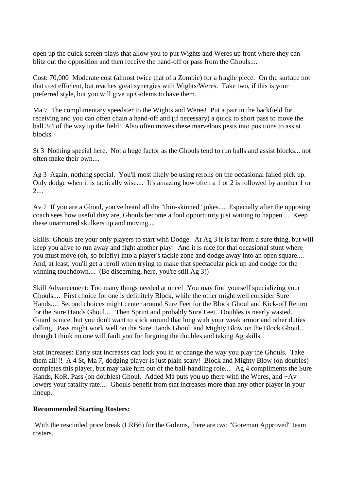open up the quick screen plays that allow you to put Wights and Weres up front where they can blitz out the opposition and then receive the hand-off or pass from the Ghouls....

Cost: 70,000 Moderate cost (almost twice that of a Zombie) for a fragile piece. On the surface not that cost efficient, but reaches great synergies with Wights/Weres. Take two, if this is your preferred style, but you will give up Golems to have them.

Ma 7 The complimentary speedster to the Wights and Weres! Put a pair in the backfield for receiving and you can often chain a hand-off and (if necessary) a quick to short pass to move the ball 3/4 of the way up the field! Also often moves these marvelous pests into positions to assist blocks.

St 3 Nothing special here. Not a huge factor as the Ghouls tend to run balls and assist blocks... not often make their own....

Ag 3 Again, nothing special. You'll most likely be using rerolls on the occasional failed pick up. Only dodge when it is tactically wise.... It's amazing how often a 1 or 2 is followed by another 1 or 2....

Av 7 If you are a Ghoul, you've heard all the "thin-skinned" jokes.... Especially after the opposing coach sees how useful they are, Ghouls become a foul opportunity just waiting to happen.... Keep these unarmored skulkers up and moving....

Skills: Ghouls are your only players to start with Dodge. At Ag 3 it is far from a sure thing, but will keep you alive to run away and fight another play! And it is nice for that occasional stunt where you must move (oh, so briefly) into a player's tackle zone and dodge away into an open square.... And, at least, you'll get a reroll when trying to make that spectacular pick up and dodge for the winning touchdown.... (Be discerning, here, you're still Ag 3!)

Skill Advancement: Too many things needed at once! You may find yourself specializing your Ghouls.... First choice for one is definitely Block, while the other might well consider Sure Hands.... Second choices might center around Sure Feet for the Block Ghoul and Kick-off Return for the Sure Hands Ghoul.... Then Sprint and probably Sure Feet. Doubles is nearly wasted... Guard is nice, but you don't want to stick around that long with your weak armor and other duties calling. Pass might work well on the Sure Hands Ghoul, and Mighty Blow on the Block Ghoul... though I think no one will fault you for forgoing the doubles and taking Ag skills.

Stat Increases: Early stat increases can lock you in or change the way you play the Ghouls. Take them all!!! A 4 St, Ma 7, dodging player is just plain scary! Block and Mighty Blow (on doubles) completes this player, but may take him out of the ball-handling role.... Ag 4 compliments the Sure Hands, KoR, Pass (on doubles) Ghoul. Added Ma puts you up there with the Weres, and +Av lowers your fatality rate.... Ghouls benefit from stat increases more than any other player in your lineup.

## **Recommended Starting Rosters:**

With the rescinded price break (LRB6) for the Golems, there are two "Goreman Approved" team rosters...